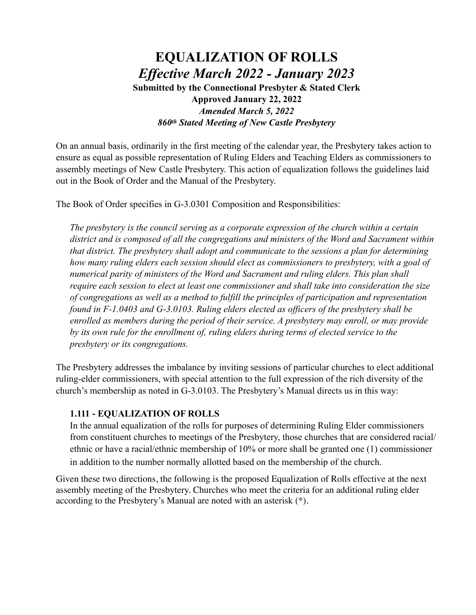### **EQUALIZATION OF ROLLS** *Effective March 2022 - January 2023* **Submitted by the Connectional Presbyter & Stated Clerk Approved January 22, 2022** *Amended March 5, 2022 860th Stated Meeting of New Castle Presbytery*

On an annual basis, ordinarily in the first meeting of the calendar year, the Presbytery takes action to ensure as equal as possible representation of Ruling Elders and Teaching Elders as commissioners to assembly meetings of New Castle Presbytery. This action of equalization follows the guidelines laid out in the Book of Order and the Manual of the Presbytery.

The Book of Order specifies in G-3.0301 Composition and Responsibilities:

*The presbytery is the council serving as a corporate expression of the church within a certain district and is composed of all the congregations and ministers of the Word and Sacrament within that district. The presbytery shall adopt and communicate to the sessions a plan for determining how many ruling elders each session should elect as commissioners to presbytery, with a goal of numerical parity of ministers of the Word and Sacrament and ruling elders. This plan shall require each session to elect at least one commissioner and shall take into consideration the size of congregations as well as a method to fulfill the principles of participation and representation found in F-1.0403 and G-3.0103. Ruling elders elected as officers of the presbytery shall be enrolled as members during the period of their service. A presbytery may enroll, or may provide by its own rule for the enrollment of, ruling elders during terms of elected service to the presbytery or its congregations.*

The Presbytery addresses the imbalance by inviting sessions of particular churches to elect additional ruling-elder commissioners, with special attention to the full expression of the rich diversity of the church's membership as noted in G-3.0103. The Presbytery's Manual directs us in this way:

#### **1.111 - EQUALIZATION OF ROLLS**

In the annual equalization of the rolls for purposes of determining Ruling Elder commissioners from constituent churches to meetings of the Presbytery, those churches that are considered racial/ ethnic or have a racial/ethnic membership of 10% or more shall be granted one (1) commissioner in addition to the number normally allotted based on the membership of the church.

Given these two directions, the following is the proposed Equalization of Rolls effective at the next assembly meeting of the Presbytery. Churches who meet the criteria for an additional ruling elder according to the Presbytery's Manual are noted with an asterisk (\*).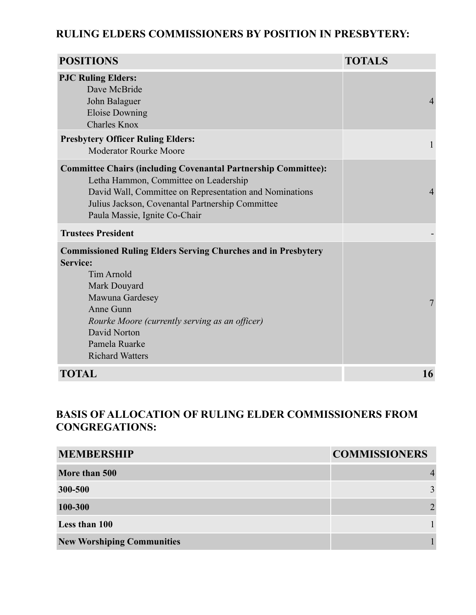#### **RULING ELDERS COMMISSIONERS BY POSITION IN PRESBYTERY:**

| <b>POSITIONS</b>                                                                                                                                                                                                                                                   | <b>TOTALS</b>  |
|--------------------------------------------------------------------------------------------------------------------------------------------------------------------------------------------------------------------------------------------------------------------|----------------|
| <b>PJC Ruling Elders:</b><br>Dave McBride<br>John Balaguer<br><b>Eloise Downing</b><br><b>Charles Knox</b>                                                                                                                                                         | 4              |
| <b>Presbytery Officer Ruling Elders:</b><br><b>Moderator Rourke Moore</b>                                                                                                                                                                                          | 1              |
| <b>Committee Chairs (including Covenantal Partnership Committee):</b><br>Letha Hammon, Committee on Leadership<br>David Wall, Committee on Representation and Nominations<br>Julius Jackson, Covenantal Partnership Committee<br>Paula Massie, Ignite Co-Chair     | $\overline{4}$ |
| <b>Trustees President</b>                                                                                                                                                                                                                                          |                |
| <b>Commissioned Ruling Elders Serving Churches and in Presbytery</b><br>Service:<br><b>Tim Arnold</b><br>Mark Douyard<br>Mawuna Gardesey<br>Anne Gunn<br>Rourke Moore (currently serving as an officer)<br>David Norton<br>Pamela Ruarke<br><b>Richard Watters</b> | 7              |
| <b>TOTAL</b>                                                                                                                                                                                                                                                       | 16             |

### **BASIS OF ALLOCATION OF RULING ELDER COMMISSIONERS FROM CONGREGATIONS:**

| <b>MEMBERSHIP</b>                 | <b>COMMISSIONERS</b>        |
|-----------------------------------|-----------------------------|
| More than 500                     |                             |
| 300-500                           | 3                           |
| 100-300                           | $\mathcal{D}_{\mathcal{L}}$ |
| Less than 100                     |                             |
| <b>New Worshiping Communities</b> |                             |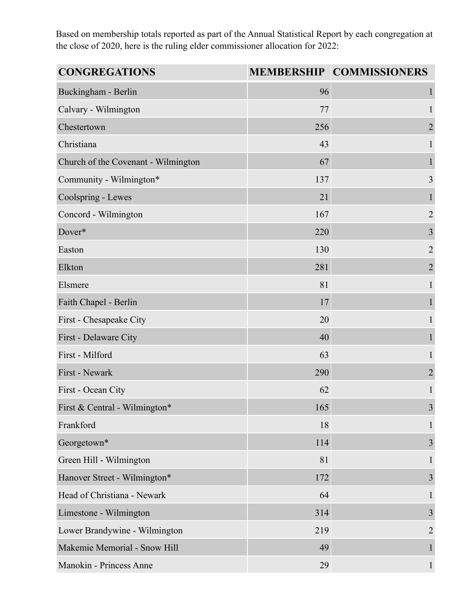Based on membership totals reported as part of the Annual Statistical Report by each congregation at the close of 2020, here is the ruling elder commissioner allocation for 2022:

| <b>CONGREGATIONS</b>                |     | <b>MEMBERSHIP COMMISSIONERS</b> |
|-------------------------------------|-----|---------------------------------|
| Buckingham - Berlin                 | 96  | 1                               |
| Calvary - Wilmington                | 77  | 1                               |
| Chestertown                         | 256 | $\overline{2}$                  |
| Christiana                          | 43  | 1                               |
| Church of the Covenant - Wilmington | 67  | 1                               |
| Community - Wilmington*             | 137 | 3                               |
| Coolspring - Lewes                  | 21  | 1                               |
| Concord - Wilmington                | 167 | $\overline{2}$                  |
| Dover*                              | 220 | $\overline{\mathbf{3}}$         |
| Easton                              | 130 | $\overline{2}$                  |
| Elkton                              | 281 | $\overline{2}$                  |
| Elsmere                             | 81  | $\mathbf{1}$                    |
| Faith Chapel - Berlin               | 17  | 1                               |
| First - Chesapeake City             | 20  | 1                               |
| First - Delaware City               | 40  | 1                               |
| First - Milford                     | 63  | $\mathbf{1}$                    |
| First - Newark                      | 290 | $\sqrt{2}$                      |
| First - Ocean City                  | 62  | 1                               |
| First & Central - Wilmington*       | 165 | $\overline{3}$                  |
| Frankford                           | 18  | 1                               |
| Georgetown*                         | 114 | 3                               |
| Green Hill - Wilmington             | 81  | 1                               |
| Hanover Street - Wilmington*        | 172 | 3                               |
| Head of Christiana - Newark         | 64  | 1                               |
| Limestone - Wilmington              | 314 | $\overline{3}$                  |
| Lower Brandywine - Wilmington       | 219 | $\overline{2}$                  |
| Makemie Memorial - Snow Hill        | 49  | $\mathbf{1}$                    |
| Manokin - Princess Anne             | 29  | 1                               |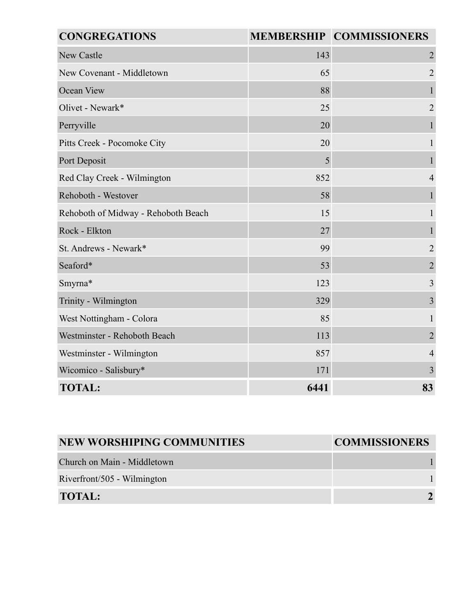| <b>CONGREGATIONS</b>                |      | MEMBERSHIP COMMISSIONERS |
|-------------------------------------|------|--------------------------|
| <b>New Castle</b>                   | 143  | $\overline{2}$           |
| New Covenant - Middletown           | 65   | $\overline{2}$           |
| Ocean View                          | 88   | 1                        |
| Olivet - Newark*                    | 25   | $\overline{2}$           |
| Perryville                          | 20   | $\mathbf{1}$             |
| Pitts Creek - Pocomoke City         | 20   |                          |
| Port Deposit                        | 5    |                          |
| Red Clay Creek - Wilmington         | 852  | $\overline{4}$           |
| Rehoboth - Westover                 | 58   | 1                        |
| Rehoboth of Midway - Rehoboth Beach | 15   | $\mathbf{1}$             |
| Rock - Elkton                       | 27   |                          |
| St. Andrews - Newark*               | 99   | $\overline{2}$           |
| Seaford*                            | 53   | $\overline{2}$           |
| Smyrna*                             | 123  | 3                        |
| Trinity - Wilmington                | 329  | 3                        |
| West Nottingham - Colora            | 85   | 1                        |
| Westminster - Rehoboth Beach        | 113  | $\overline{2}$           |
| Westminster - Wilmington            | 857  | $\overline{4}$           |
| Wicomico - Salisbury*               | 171  | $\overline{3}$           |
| <b>TOTAL:</b>                       | 6441 | 83                       |

| <b>NEW WORSHIPING COMMUNITIES</b> | <b>COMMISSIONERS</b> |
|-----------------------------------|----------------------|
| Church on Main - Middletown       |                      |
| Riverfront/505 - Wilmington       |                      |
| <b>TOTAL:</b>                     |                      |